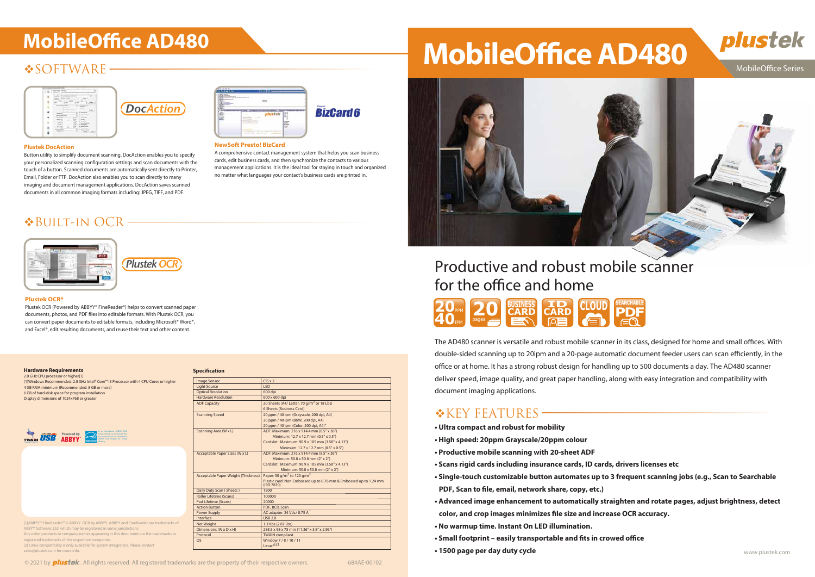# **SOFTWARE**





# Productive and robust mobile scanner for the office and home

The AD480 scanner is versatile and robust mobile scanner in its class, designed for home and small offices. With double-sided scanning up to 20ipm and a 20-page automatic document feeder users can scan efficiently, in the office or at home. It has a strong robust design for handling up to 500 documents a day. The AD480 scanner deliver speed, image quality, and great paper handling, along with easy integration and compatibility with document imaging applications.

### $K$  KEY FEATURES –

**• Single-touch customizable button automates up to 3 frequent scanning jobs (e.g., Scan to Searchable**

- **Ultra compact and robust for mobility**
- **High speed: 20ppm Grayscale/20ppm colour**
- **Productive mobile scanning with 20-sheet ADF**
- **Scans rigid cards including insurance cards, ID cards, drivers licenses etc**
- **PDF, Scan to file, email, network share, copy, etc.)**
- **Advanced image enhancement to automatically straighten and rotate pages, adjust brightness, detect** color, and crop images minimizes file size and increase OCR accuracy.
- **No warmup time. Instant On LED illumination.**
- Small footprint easily transportable and fits in crowed office
- www.plustek.com  **1500 page per day duty cycle**

© 2021 by **plustek**. All rights reserved. All registered trademarks are the property of their respective owners. 684AE-00102



### MobileOffice Series



#### **Plustek OCR\***

Plustek OCR (Powered by ABBYY® FineReader®) helps to convert scanned paper documents, photos, and PDF files into editable formats. With Plustek OCR, you can convert paper documents to editable formats, including Microsoft® Word®, and Excel®, edit resulting documents, and reuse their text and other content.

**NewSoft Presto! BizCard**

A comprehensive contact management system that helps you scan business cards, edit business cards, and then synchronize the contacts to various management applications. It is the ideal tool for staying in touch and organized no matter what languages your contact's business cards are printed in.

**BizCard 6** 

#### **Plustek DocAction**

Button utility to simplify document scanning. DocAction enables you to specify your personalized scanning configuration settings and scan documents with the touch of a button. Scanned documents are automatically sent directly to Printer, Email, Folder or FTP. DocAction also enables you to scan directly to many imaging and document management applications. DocAction saves scanned documents in all common imaging formats including: JPEG, TIFF, and PDF.



## Built-in OCR



### **Hardware Requirements**

2.0 GHz CPU processor or higher[1] [1]Windows Recommended: 2.8 GHz Intel® Core™ i5 Processor with 4 CPU Cores or higher 4 GB RAM minimum (Recommended: 8 GB or more) 6 GB of hard-disk space for program installation Display dimensions of 1024x768 or greater

| <b>Image Sensor</b>                 | $CIS \times 2$                                                                  |
|-------------------------------------|---------------------------------------------------------------------------------|
| <b>Light Source</b>                 | LED                                                                             |
| <b>Optical Resolution</b>           | 600 dpi                                                                         |
| <b>Hardware Resolution</b>          | 600 x 600 dpi                                                                   |
| <b>ADF Capacity</b>                 | 20 Sheets (A4/ Letter, 70 g/m <sup>2</sup> or 18 Lbs)                           |
|                                     | 6 Sheets (Business Card)                                                        |
| <b>Scanning Speed</b>               | 20 ppm / 40 ipm (Grayscale, 200 dpi, A4)                                        |
|                                     | 20 ppm / 40 ipm (B&W, 200 dpi, A4)                                              |
|                                     | 20 ppm / 40 ipm (Color, 200 dpi, A4)"                                           |
| Scanning Area (W x L)               | ADF: Maximum: 216 x 914.4 mm (8.5" x 36")                                       |
|                                     | Minimum: 12.7 x 12.7 mm (0.5" x 0.5")                                           |
|                                     | Cardslot: Maximum: 90.9 x 105 mm (3.58" x 4.13")                                |
|                                     | Minimum: 12.7 x 12.7 mm (0.5" x 0.5")                                           |
| Acceptable Paper Sizes (W x L)      | ADF: Maximum: 216 x 914.4 mm (8.5" x 36")                                       |
|                                     | Minimum: 50.8 x 50.8 mm (2" x 2")                                               |
|                                     | Cardslot: Maximum: 90.9 x 105 mm (3.58" x 4.13")                                |
|                                     | Minimum: 50.8 x 50.8 mm (2" x 2")                                               |
| Acceptable Paper Weight (Thickness) | Paper: 50 g/m <sup>2</sup> to 120 g/m <sup>2</sup>                              |
|                                     | Plastic card: Non-Embossed up to 0.76 mm & Embossed up to 1.24 mm<br>(ISO 7810) |
| Daily Duty Scan (Sheets)            | 1500                                                                            |
| <b>Roller Lifetime (Scans)</b>      | 100000                                                                          |
| Pad Lifetime (Scans)                | 20000                                                                           |
| <b>Action Button</b>                | PDF, BCR, Scan                                                                  |
| Power Supply                        | AC adapter: 24 Vdc/ 0.75 A                                                      |
| Interface                           | <b>USB 2.0</b>                                                                  |
| <b>Net Weight</b>                   | 1.3 Kgs (2.87 Lbs)                                                              |
| Dimensions (W x D x H)              | 288.5 x 98 x 75 mm (11.36" x 3.8" x 2.96")                                      |
| Protocol                            | <b>TWAIN compliant</b>                                                          |
| <b>OS</b>                           | Window 7/8/10/11                                                                |
|                                     | $Linux*[2]$                                                                     |



#### **Specification**

[1]ABBYY™ FineReader™ © ABBYY. OCR by ABBYY. ABBYY and FineReader are trademarks of ABBYY Software, Ltd. which may be registered in some jurisdic Any other products or company names appearing in this document are the trademarks or registered trademarks of the respective companies. [2] Linux compatibility is only available for system integrators. Please contact sales@plustek.com for more info.

| mage Sensor                                | $CIS \times 2$                                                             |
|--------------------------------------------|----------------------------------------------------------------------------|
| ight Source                                | <b>LED</b>                                                                 |
| <b>Optical Resolution</b>                  | 600 dpi                                                                    |
| <b>Hardware Resolution</b>                 | 600 x 600 dpi                                                              |
| <b>ADF Capacity</b>                        | 20 Sheets (A4/ Letter, 70 g/m <sup>2</sup> or 18 Lbs)                      |
|                                            | 6 Sheets (Business Card)                                                   |
| Granning Speed                             | 20 ppm / 40 ipm (Grayscale, 200 dpi, A4)                                   |
|                                            | 20 ppm / 40 ipm (B&W, 200 dpi, A4)                                         |
|                                            | 20 ppm / 40 ipm (Color, 200 dpi, A4)"                                      |
| Scanning Area (W x L)                      | ADF: Maximum: 216 x 914.4 mm (8.5" x 36")                                  |
|                                            | Minimum: 12.7 x 12.7 mm (0.5" x 0.5")                                      |
|                                            | Cardslot: Maximum: 90.9 x 105 mm (3.58" x 4.13")                           |
|                                            | Minimum: 12.7 x 12.7 mm (0.5" x 0.5")                                      |
| Acceptable Paper Sizes (W x L)             | ADF: Maximum: 216 x 914.4 mm (8.5" x 36")                                  |
|                                            | Minimum: 50.8 x 50.8 mm (2" x 2")                                          |
|                                            | Cardslot: Maximum: 90.9 x 105 mm (3.58" x 4.13")                           |
|                                            | Minimum: 50.8 x 50.8 mm (2" x 2")                                          |
| <b>Acceptable Paper Weight (Thickness)</b> | Paper: 50 g/m <sup>2</sup> to 120 g/m <sup>2</sup>                         |
|                                            | Plastic card: Non-Embossed up to 0.76 mm & Embossed up to 1.<br>(ISO 7810) |
| Daily Duty Scan (Sheets)                   | 1500                                                                       |
| Roller Lifetime (Scans)                    | 100000                                                                     |
| ad Lifetime (Scans)                        | 20000                                                                      |
| <b>Action Button</b>                       | PDF, BCR, Scan                                                             |
| ower Supply                                | AC adapter: 24 Vdc/ 0.75 A                                                 |

# MobileOffice AD480 **MobileOffice AD480**